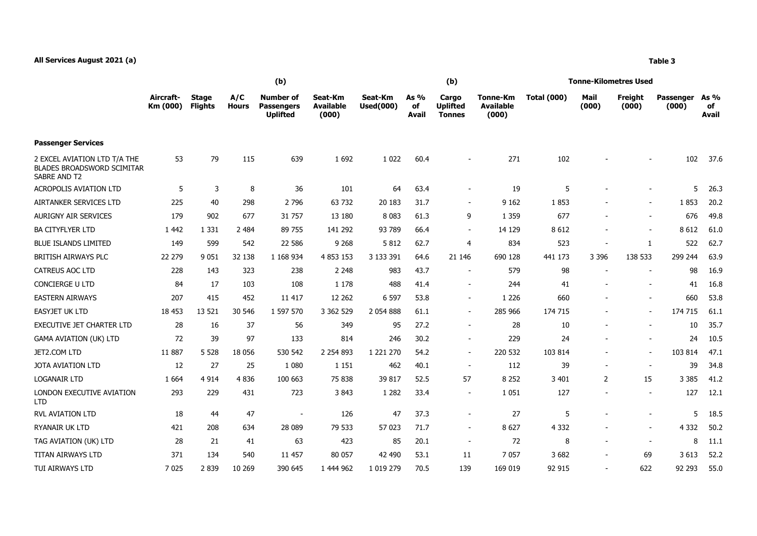## **All Services August 2021 (a) Table 3**

|                                                                                   | (b)                   |                                |                     |                                                          |                                      |                             |                              | (b)                                       |                                              | Tonne-Kilometres Used |               |                          |                    |                              |  |
|-----------------------------------------------------------------------------------|-----------------------|--------------------------------|---------------------|----------------------------------------------------------|--------------------------------------|-----------------------------|------------------------------|-------------------------------------------|----------------------------------------------|-----------------------|---------------|--------------------------|--------------------|------------------------------|--|
|                                                                                   | Aircraft-<br>Km (000) | <b>Stage</b><br><b>Flights</b> | A/C<br><b>Hours</b> | <b>Number of</b><br><b>Passengers</b><br><b>Uplifted</b> | Seat-Km<br><b>Available</b><br>(000) | Seat-Km<br><b>Used(000)</b> | As $%$<br>of<br><b>Avail</b> | Cargo<br><b>Uplifted</b><br><b>Tonnes</b> | <b>Tonne-Km</b><br><b>Available</b><br>(000) | <b>Total (000)</b>    | Mail<br>(000) | Freight<br>(000)         | Passenger<br>(000) | As $%$<br>of<br><b>Avail</b> |  |
| <b>Passenger Services</b>                                                         |                       |                                |                     |                                                          |                                      |                             |                              |                                           |                                              |                       |               |                          |                    |                              |  |
| 2 EXCEL AVIATION LTD T/A THE<br><b>BLADES BROADSWORD SCIMITAR</b><br>SABRE AND T2 | 53                    | 79                             | 115                 | 639                                                      | 1 6 9 2                              | 1 0 2 2                     | 60.4                         |                                           | 271                                          | 102                   |               |                          | 102                | 37.6                         |  |
| <b>ACROPOLIS AVIATION LTD</b>                                                     | 5                     | 3                              | 8                   | 36                                                       | 101                                  | 64                          | 63.4                         | $\blacksquare$                            | 19                                           | 5                     |               |                          | 5                  | 26.3                         |  |
| AIRTANKER SERVICES LTD                                                            | 225                   | 40                             | 298                 | 2 7 9 6                                                  | 63 732                               | 20 183                      | 31.7                         | $\sim$                                    | 9 1 6 2                                      | 1853                  |               |                          | 1853               | 20.2                         |  |
| <b>AURIGNY AIR SERVICES</b>                                                       | 179                   | 902                            | 677                 | 31 757                                                   | 13 180                               | 8 0 8 3                     | 61.3                         | 9                                         | 1 3 5 9                                      | 677                   |               |                          | 676                | 49.8                         |  |
| <b>BA CITYFLYER LTD</b>                                                           | 1 4 4 2               | 1 3 3 1                        | 2 4 8 4             | 89 755                                                   | 141 292                              | 93 789                      | 66.4                         | $\sim$                                    | 14 129                                       | 8 6 1 2               |               | $\overline{\phantom{a}}$ | 8612               | 61.0                         |  |
| <b>BLUE ISLANDS LIMITED</b>                                                       | 149                   | 599                            | 542                 | 22 586                                                   | 9 2 6 8                              | 5812                        | 62.7                         | $\overline{4}$                            | 834                                          | 523                   |               | 1                        | 522                | 62.7                         |  |
| BRITISH AIRWAYS PLC                                                               | 22 279                | 9 0 5 1                        | 32 138              | 1 168 934                                                | 4 8 5 3 1 5 3                        | 3 133 391                   | 64.6                         | 21 146                                    | 690 128                                      | 441 173               | 3 3 9 6       | 138 533                  | 299 244            | 63.9                         |  |
| <b>CATREUS AOC LTD</b>                                                            | 228                   | 143                            | 323                 | 238                                                      | 2 2 4 8                              | 983                         | 43.7                         | $\overline{\phantom{a}}$                  | 579                                          | 98                    |               |                          | 98                 | 16.9                         |  |
| <b>CONCIERGE U LTD</b>                                                            | 84                    | 17                             | 103                 | 108                                                      | 1 1 7 8                              | 488                         | 41.4                         | $\overline{\phantom{a}}$                  | 244                                          | 41                    |               |                          | 41                 | 16.8                         |  |
| <b>EASTERN AIRWAYS</b>                                                            | 207                   | 415                            | 452                 | 11 417                                                   | 12 2 62                              | 6 5 9 7                     | 53.8                         | $\sim$                                    | 1 2 2 6                                      | 660                   |               | $\overline{\phantom{a}}$ | 660                | 53.8                         |  |
| <b>EASYJET UK LTD</b>                                                             | 18 453                | 13 5 21                        | 30 546              | 1 597 570                                                | 3 3 6 2 5 2 9                        | 2 0 5 4 8 8 8               | 61.1                         | $\blacksquare$                            | 285 966                                      | 174 715               |               | $\overline{\phantom{a}}$ | 174 715            | 61.1                         |  |
| <b>EXECUTIVE JET CHARTER LTD</b>                                                  | 28                    | 16                             | 37                  | 56                                                       | 349                                  | 95                          | 27.2                         | $\overline{\phantom{a}}$                  | 28                                           | 10                    |               | $\overline{\phantom{a}}$ | 10                 | 35.7                         |  |
| <b>GAMA AVIATION (UK) LTD</b>                                                     | 72                    | 39                             | 97                  | 133                                                      | 814                                  | 246                         | 30.2                         | $\blacksquare$                            | 229                                          | 24                    |               |                          | 24                 | 10.5                         |  |
| JET2.COM LTD                                                                      | 11 887                | 5 5 2 8                        | 18 0 56             | 530 542                                                  | 2 2 5 4 8 9 3                        | 1 221 270                   | 54.2                         | $\sim$                                    | 220 532                                      | 103 814               |               | $\overline{\phantom{a}}$ | 103 814            | 47.1                         |  |
| <b>JOTA AVIATION LTD</b>                                                          | 12                    | 27                             | 25                  | 1 0 8 0                                                  | 1 1 5 1                              | 462                         | 40.1                         | $\sim$                                    | 112                                          | 39                    |               | $\overline{\phantom{a}}$ | 39                 | 34.8                         |  |
| <b>LOGANAIR LTD</b>                                                               | 1 6 6 4               | 4 9 1 4                        | 4 8 3 6             | 100 663                                                  | 75 838                               | 39 817                      | 52.5                         | 57                                        | 8 2 5 2                                      | 3 4 0 1               | 2             | 15                       | 3 3 8 5            | 41.2                         |  |
| LONDON EXECUTIVE AVIATION<br><b>LTD</b>                                           | 293                   | 229                            | 431                 | 723                                                      | 3843                                 | 1 2 8 2                     | 33.4                         | $\overline{\phantom{a}}$                  | 1 0 5 1                                      | 127                   |               |                          | 127                | 12.1                         |  |
| <b>RVL AVIATION LTD</b>                                                           | 18                    | 44                             | 47                  | $\overline{\phantom{a}}$                                 | 126                                  | 47                          | 37.3                         | $\overline{\phantom{a}}$                  | 27                                           | 5                     |               | $\overline{\phantom{a}}$ | 5                  | 18.5                         |  |
| RYANAIR UK LTD                                                                    | 421                   | 208                            | 634                 | 28 089                                                   | 79 533                               | 57 023                      | 71.7                         | $\overline{a}$                            | 8 6 27                                       | 4 3 3 2               |               |                          | 4 3 3 2            | 50.2                         |  |
| TAG AVIATION (UK) LTD                                                             | 28                    | 21                             | 41                  | 63                                                       | 423                                  | 85                          | 20.1                         | $\sim$                                    | 72                                           | 8                     |               |                          | 8                  | 11.1                         |  |

TITAN AIRWAYS LTD 371 134 540 11 457 80 057 42 490 53.1 11 7 057 3 682 - 69 3 613 52.2 TUI AIRWAYS LTD 7 025 2 839 10 269 390 645 1 444 962 1 019 279 70.5 139 169 019 92 915 - 622 92 293 55.0